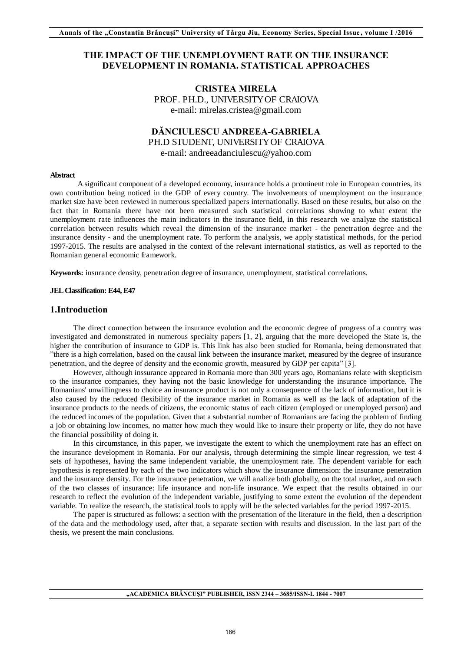# **THE IMPACT OF THE UNEMPLOYMENT RATE ON THE INSURANCE DEVELOPMENT IN ROMANIA. STATISTICAL APPROACHES**

# **CRISTEA MIRELA**  PROF. PH.D., UNIVERSITY OF CRAIOVA e-mail: mirelas.cristea@gmail.com

# **DĂNCIULESCU ANDREEA-GABRIELA**  PH.D STUDENT, UNIVERSITY OF CRAIOVA e-mail: andreeadanciulescu@yahoo.com

#### **Abstract**

A significant component of a developed economy, insurance holds a prominent role in European countries, its own contribution being noticed in the GDP of every country. The involvements of unemployment on the insurance market size have been reviewed in numerous specialized papers internationally. Based on these results, but also on the fact that in Romania there have not been measured such statistical correlations showing to what extent the unemployment rate influences the main indicators in the insurance field, in this research we analyze the statistical correlation between results which reveal the dimension of the insurance market - the penetration degree and the insurance density - and the unemployment rate. To perform the analysis, we apply statistical methods, for the period 1997-2015. The results are analysed in the context of the relevant international statistics, as well as reported to the Romanian general economic framework.

**Keywords:** insurance density, penetration degree of insurance, unemployment, statistical correlations.

#### **JEL Classification: E44, E47**

#### **1.Introduction**

The direct connection between the insurance evolution and the economic degree of progress of a country was investigated and demonstrated in numerous specialty papers [1, 2], arguing that the more developed the State is, the higher the contribution of insurance to GDP is. This link has also been studied for Romania, being demonstrated that "there is a high correlation, based on the causal link between the insurance market, measured by the degree of insurance penetration, and the degree of density and the economic growth, measured by GDP per capita" [3].

However, although inssurance appeared in Romania more than 300 years ago, Romanians relate with skepticism to the insurance companies, they having not the basic knowledge for understanding the insurance importance. The Romanians' unwillingness to choice an insurance product is not only a consequence of the lack of information, but it is also caused by the reduced flexibility of the insurance market in Romania as well as the lack of adaptation of the insurance products to the needs of citizens, the economic status of each citizen (employed or unemployed person) and the reduced incomes of the population. Given that a substantial number of Romanians are facing the problem of finding a job or obtaining low incomes, no matter how much they would like to insure their property or life, they do not have the financial possibility of doing it.

In this circumstance, in this paper, we investigate the extent to which the unemployment rate has an effect on the insurance development in Romania. For our analysis, through determining the simple linear regression, we test 4 sets of hypotheses, having the same independent variable, the unemployment rate. The dependent variable for each hypothesis is represented by each of the two indicators which show the insurance dimension: the insurance penetration and the insurance density. For the insurance penetration, we will analize both globally, on the total market, and on each of the two classes of insurance: life insurance and non-life insurance. We expect that the results obtained in our research to reflect the evolution of the independent variable, justifying to some extent the evolution of the dependent variable. To realize the research, the statistical tools to apply will be the selected variables for the period 1997-2015.

The paper is structured as follows: a section with the presentation of the literature in the field, then a description of the data and the methodology used, after that, a separate section with results and discussion. In the last part of the thesis, we present the main conclusions.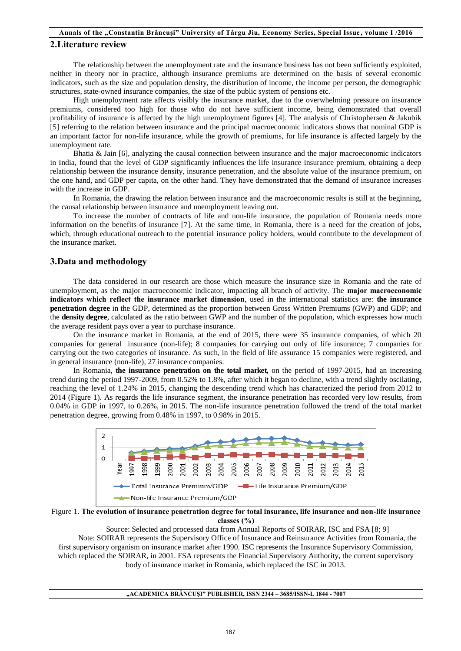### **2.Literature review**

The relationship between the unemployment rate and the insurance business has not been sufficiently exploited, neither in theory nor in practice, although insurance premiums are determined on the basis of several economic indicators, such as the size and population density, the distribution of income, the income per person, the demographic structures, state-owned insurance companies, the size of the public system of pensions etc.

High unemployment rate affects visibly the insurance market, due to the overwhelming pressure on insurance premiums, considered too high for those who do not have sufficient income, being demonstrated that overall profitability of insurance is affected by the high unemployment figures [4]. The analysis of Christophersen & Jakubik [5] referring to the relation between insurance and the principal macroeconomic indicators shows that nominal GDP is an important factor for non-life insurance, while the growth of premiums, for life insurance is affected largely by the unemployment rate.

Bhatia & Jain [6], analyzing the causal connection between insurance and the major macroeconomic indicators in India, found that the level of GDP significantly influences the life insurance insurance premium, obtaining a deep relationship between the insurance density, insurance penetration, and the absolute value of the insurance premium, on the one hand, and GDP per capita, on the other hand. They have demonstrated that the demand of insurance increases with the increase in GDP.

In Romania, the drawing the relation between insurance and the macroeconomic results is still at the beginning, the causal relationship between insurance and unemployment leaving out.

To increase the number of contracts of life and non-life insurance, the population of Romania needs more information on the benefits of insurance [7]. At the same time, in Romania, there is a need for the creation of jobs, which, through educational outreach to the potential insurance policy holders, would contribute to the development of the insurance market.

### **3.Data and methodology**

The data considered in our research are those which measure the insurance size in Romania and the rate of unemployment, as the major macroeconomic indicator, impacting all branch of activity. The **major macroeconomic indicators which reflect the insurance market dimension**, used in the international statistics are: **the insurance penetration degree** in the GDP, determined as the proportion between Gross Written Premiums (GWP) and GDP; and the **density degree**, calculated as the ratio between GWP and the number of the population, which expresses how much the average resident pays over a year to purchase insurance.

On the insurance market in Romania, at the end of 2015, there were 35 insurance companies, of which 20 companies for general insurance (non-life); 8 companies for carrying out only of life insurance; 7 companies for carrying out the two categories of insurance. As such, in the field of life assurance 15 companies were registered, and in general insurance (non-life), 27 insurance companies.

In Romania, **the insurance penetration on the total market,** on the period of 1997-2015, had an increasing trend during the period 1997-2009, from 0.52% to 1.8%, after which it began to decline, with a trend slightly oscilating, reaching the level of 1.24% in 2015, changing the descending trend which has characterized the period from 2012 to 2014 (Figure 1). As regards the life insurance segment, the insurance penetration has recorded very low results, from 0.04% in GDP in 1997, to 0.26%, in 2015. The non-life insurance penetration followed the trend of the total market penetration degree, growing from 0.48% in 1997, to 0.98% in 2015.



### Figure 1. **The evolution of insurance penetration degree for total insurance, life insurance and non-life insurance classes (%)**

Source: Selected and processed data from Annual Reports of SOIRAR, ISC and FSA [8; 9] Note: SOIRAR represents the Supervisory Office of Insurance and Reinsurance Activities from Romania, the first supervisory organism on insurance market after 1990. ISC represents the Insurance Supervisory Commission, which replaced the SOIRAR, in 2001. FSA represents the Financial Supervisory Authority, the current supervisory body of insurance market in Romania, which replaced the ISC in 2013.

#### **"ACADEMICA BRÂNCUŞI" PUBLISHER, ISSN 2344 – 3685/ISSN-L 1844 - 7007**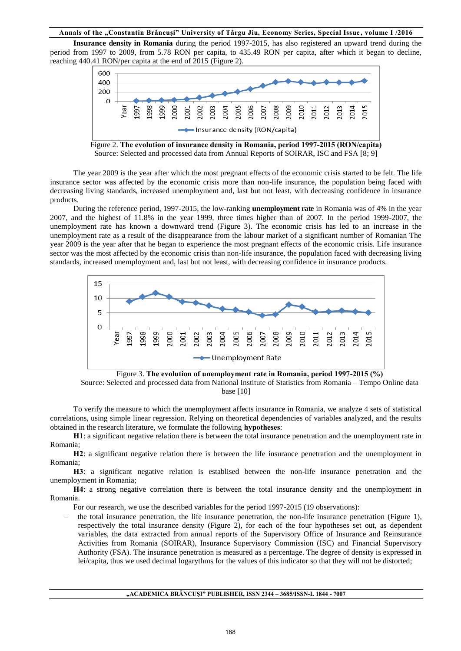**Insurance density in Romania** during the period 1997-2015, has also registered an upward trend during the period from 1997 to 2009, from 5.78 RON per capita, to 435.49 RON per capita, after which it began to decline, reaching 440.41 RON/per capita at the end of 2015 (Figure 2).



Figure 2. **The evolution of insurance density in Romania, period 1997-2015 (RON/capita)** Source: Selected and processed data from Annual Reports of SOIRAR, ISC and FSA [8; 9]

The year 2009 is the year after which the most pregnant effects of the economic crisis started to be felt. The life insurance sector was affected by the economic crisis more than non-life insurance, the population being faced with decreasing living standards, increased unemployment and, last but not least, with decreasing confidence in insurance products.

During the reference period, 1997-2015, the low-ranking **unemployment rate** in Romania was of 4% in the year 2007, and the highest of 11.8% in the year 1999, three times higher than of 2007. In the period 1999-2007, the unemployment rate has known a downward trend (Figure 3). The economic crisis has led to an increase in the unemployment rate as a result of the disappearance from the labour market of a significant number of Romanian The year 2009 is the year after that he began to experience the most pregnant effects of the economic crisis. Life insurance sector was the most affected by the economic crisis than non-life insurance, the population faced with decreasing living standards, increased unemployment and, last but not least, with decreasing confidence in insurance products.



Figure 3. **The evolution of unemployment rate in Romania, period 1997-2015 (%)** Source: Selected and processed data from National Institute of Statistics from Romania – Tempo Online data base [10]

To verify the measure to which the unemployment affects insurance in Romania, we analyze 4 sets of statistical correlations, using simple linear regression. Relying on theoretical dependencies of variables analyzed, and the results obtained in the research literature, we formulate the following **hypotheses**:

**H1**: a significant negative relation there is between the total insurance penetration and the unemployment rate in Romania;

**H2**: a significant negative relation there is between the life insurance penetration and the unemployment in Romania;

**H3**: a significant negative relation is establised between the non-life insurance penetration and the unemployment in Romania;

**H4**: a strong negative correlation there is between the total insurance density and the unemployment in Romania.

For our research, we use the described variables for the period 1997-2015 (19 observations):

 the total insurance penetration, the life insurance penetration, the non-life insurance penetration (Figure 1), respectively the total insurance density (Figure 2), for each of the four hypotheses set out, as dependent variables, the data extracted from annual reports of the Supervisory Office of Insurance and Reinsurance Activities from Romania (SOIRAR), Insurance Supervisory Commission (ISC) and Financial Supervisory Authority (FSA). The insurance penetration is measured as a percentage. The degree of density is expressed in lei/capita, thus we used decimal logarythms for the values of this indicator so that they will not be distorted;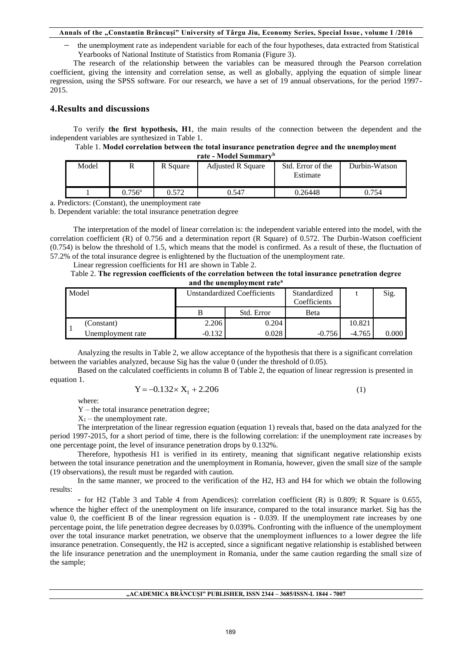the unemployment rate as independent variable for each of the four hypotheses, data extracted from Statistical Yearbooks of National Institute of Statistics from Romania (Figure 3).

The research of the relationship between the variables can be measured through the Pearson correlation coefficient, giving the intensity and correlation sense, as well as globally, applying the equation of simple linear regression, using the SPSS software. For our research, we have a set of 19 annual observations, for the period 1997- 2015.

### **4.Results and discussions**

To verify **the first hypothesis, H1**, the main results of the connection between the dependent and the independent variables are synthesized in Table 1.

#### Table 1. **Model correlation between the total insurance penetration degree and the unemployment rate - Model Summary<sup>b</sup>**

| Model |           | R Square | <b>Adjusted R Square</b> | Std. Error of the<br>Estimate | Durbin-Watson |
|-------|-----------|----------|--------------------------|-------------------------------|---------------|
|       | $1.756$ a | 0.572    | 0.547                    | 0.26448                       | 0.754         |

a. Predictors: (Constant), the unemployment rate

b. Dependent variable: the total insurance penetration degree

The interpretation of the model of linear correlation is: the independent variable entered into the model, with the correlation coefficient (R) of 0.756 and a determination report (R Square) of 0.572. The Durbin-Watson coefficient (0.754) is below the threshold of 1.5, which means that the model is confirmed. As a result of these, the fluctuation of 57.2% of the total insurance degree is enlightened by the fluctuation of the unemployment rate.

Linear regression coefficients for H1 are shown in Table 2.

#### Table 2. **The regression coefficients of the correlation between the total insurance penetration degree and the unemployment rate<sup>a</sup>**

| Model |                   |          | <b>Unstandardized Coefficients</b> | Standardized<br>Coefficients |          | Sig.  |
|-------|-------------------|----------|------------------------------------|------------------------------|----------|-------|
|       |                   |          | Std. Error                         | Beta                         |          |       |
|       | (Constant)        | 2.206    | 0.204                              |                              | 10.821   |       |
|       | Unemployment rate | $-0.132$ | 0.028                              | $-0.756$                     | $-4.765$ | 0.000 |

Analyzing the results in Table 2, we allow acceptance of the hypothesis that there is a significant correlation between the variables analyzed, because Sig has the value 0 (under the threshold of 0.05).

Based on the calculated coefficients in column B of Table 2, the equation of linear regression is presented in equation 1.

$$
Y = -0.132 \times X_1 + 2.206 \tag{1}
$$

where:

Y – the total insurance penetration degree;

 $X_1$  – the unemployment rate.

The interpretation of the linear regression equation (equation 1) reveals that, based on the data analyzed for the period 1997-2015, for a short period of time, there is the following correlation: if the unemployment rate increases by one percentage point, the level of insurance penetration drops by 0.132%.

Therefore, hypothesis H1 is verified in its entirety, meaning that significant negative relationship exists between the total insurance penetration and the unemployment in Romania, however, given the small size of the sample (19 observations), the result must be regarded with caution.

In the same manner, we proceed to the verification of the H2, H3 and H4 for which we obtain the following results:

- for H2 (Table 3 and Table 4 from Apendices): correlation coefficient (R) is 0.809; R Square is 0.655, whence the higher effect of the unemployment on life insurance, compared to the total insurance market. Sig has the value 0, the coefficient B of the linear regression equation is - 0.039. If the unemployment rate increases by one percentage point, the life penetration degree decreases by 0.039%. Confronting with the influence of the unemployment over the total insurance market penetration, we observe that the unemployment influences to a lower degree the life insurance penetration. Consequently, the H2 is accepted, since a significant negative relationship is established between the life insurance penetration and the unemployment in Romania, under the same caution regarding the small size of the sample;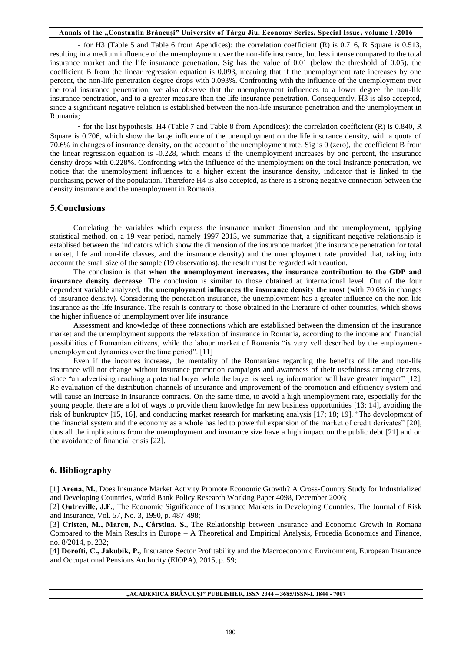- for H3 (Table 5 and Table 6 from Apendices): the correlation coefficient (R) is 0.716, R Square is 0.513, resulting in a medium influence of the unemployment over the non-life insurance, but less intense compared to the total insurance market and the life insurance penetration. Sig has the value of 0.01 (below the threshold of 0.05), the coefficient B from the linear regression equation is 0.093, meaning that if the unemployment rate increases by one percent, the non-life penetration degree drops with 0.093%. Confronting with the influence of the unemployment over the total insurance penetration, we also observe that the unemployment influences to a lower degree the non-life insurance penetration, and to a greater measure than the life insurance penetration. Consequently, H3 is also accepted, since a significant negative relation is established between the non-life insurance penetration and the unemployment in Romania;

- for the last hypothesis, H4 (Table 7 and Table 8 from Apendices): the correlation coefficient (R) is 0.840, R Square is 0.706, which show the large influence of the unemployment on the life insurance density, with a quota of 70.6% in changes of insurance density, on the account of the unemployment rate. Sig is 0 (zero), the coefficient B from the linear regression equation is -0.228, which means if the unemployment increases by one percent, the insurance density drops with 0.228%. Confronting with the influence of the unemployment on the total insirance penetration, we notice that the unemployment influences to a higher extent the insurance density, indicator that is linked to the purchasing power of the population. Therefore H4 is also accepted, as there is a strong negative connection between the density insurance and the unemployment in Romania.

## **5.Conclusions**

Correlating the variables which express the insurance market dimension and the unemployment, applying statistical method, on a 19-year period, namely 1997-2015, we summarize that, a significant negative relationship is establised between the indicators which show the dimension of the insurance market (the insurance penetration for total market, life and non-life classes, and the insurance density) and the unemployment rate provided that, taking into account the small size of the sample (19 observations), the result must be regarded with caution.

The conclusion is that **when the unemployment increases, the insurance contribution to the GDP and insurance density decrease**. The conclusion is similar to those obtained at international level. Out of the four dependent variable analyzed, **the unemployment influences the insurance density the most** (with 70.6% in changes of insurance density). Considering the peneration insurance, the unemployment has a greater influence on the non-life insurance as the life insurance. The result is contrary to those obtained in the literature of other countries, which shows the higher influence of unemployment over life insurance.

Assessment and knowledge of these connections which are established between the dimension of the insurance market and the unemployment supports the relaxation of insurance in Romania, according to the income and financial possibilities of Romanian citizens, while the labour market of Romania "is very vell described by the employmentunemployment dynamics over the time period". [11]

Even if the incomes increase, the mentality of the Romanians regarding the benefits of life and non-life insurance will not change without insurance promotion campaigns and awareness of their usefulness among citizens, since "an advertising reaching a potential buyer while the buyer is seeking information will have greater impact" [12]. Re-evaluation of the distribution channels of insurance and improvement of the promotion and efficiency system and will cause an increase in insurance contracts. On the same time, to avoid a high unemployment rate, especially for the young people, there are a lot of ways to provide them knowledge for new business opportunities [13; 14], avoiding the risk of bunkruptcy [15, 16], and conducting market research for marketing analysis [17; 18; 19]. "The development of the financial system and the economy as a whole has led to powerful expansion of the market of credit derivates" [20], thus all the implications from the unemployment and insurance size have a high impact on the public debt [21] and on the avoidance of financial crisis [22].

### **6. Bibliography**

[1] **Arena, M.**, Does Insurance Market Activity Promote Economic Growth? A Cross-Country Study for Industrialized and Developing Countries, World Bank Policy Research Working Paper 4098, December 2006;

[2] **Outreville, J.F.**, The Economic Significance of Insurance Markets in Developing Countries, The Journal of Risk and Insurance, Vol. 57, No. 3, 1990, p. 487-498;

[3] **Cristea, M., Marcu, N., Cârstina, S.**, The Relationship between Insurance and Economic Growth in Romana Compared to the Main Results in Europe – A Theoretical and Empirical Analysis, Procedia Economics and Finance, no. 8/2014, p. 232;

[4] **Dorofti, C., Jakubik, P.**, Insurance Sector Profitability and the Macroeconomic Environment, European Insurance and Occupational Pensions Authority (EIOPA), 2015, p. 59;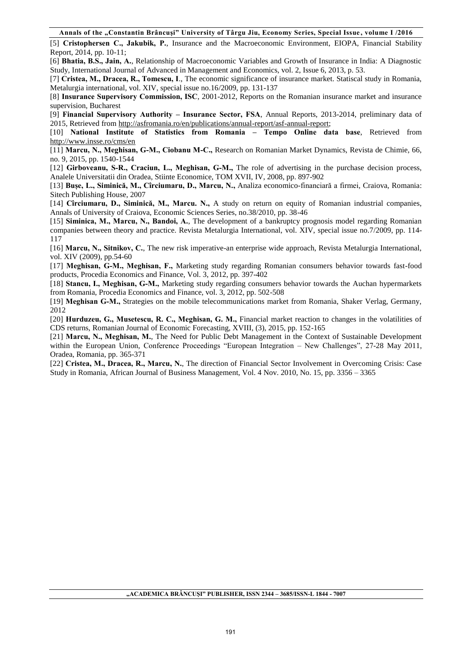[5] **Cristophersen C., Jakubik, P.**, Insurance and the Macroeconomic Environment, EIOPA, Financial Stability Report, 2014, pp. 10-11;

[6] **Bhatia, B.S., Jain, A.**, Relationship of Macroeconomic Variables and Growth of Insurance in India: A Diagnostic Study, International Journal of Advanced in Management and Economics, vol. 2, Issue 6, 2013, p. 53.

[7] **Cristea, M., Dracea, R., Tomescu, I**., The economic significance of insurance market. Statiscal study in Romania, Metalurgia international, vol. XIV, special issue no.16/2009, pp. 131-137

[8] **Insurance Supervisory Commission, ISC**, 2001-2012, Reports on the Romanian insurance market and insurance supervision, Bucharest

[9] **Financial Supervisory Authority – Insurance Sector, FSA**, Annual Reports, 2013-2014, preliminary data of 2015, Retrieved from [http://asfromania.ro/en/publications/annual-report/asf-annual-report;](http://asfromania.ro/en/publications/annual-report/asf-annual-report)

[10] **National Institute of Statistics from Romania – Tempo Online data base**, Retrieved from <http://www.insse.ro/cms/en>

[11] **Marcu, N., Meghisan, G-M., Ciobanu M-C.,** Research on Romanian Market Dynamics, Revista de Chimie, 66, no. 9, 2015, pp. 1540-1544

[12] **Girboveanu, S-R., Craciun, L., Meghisan, G-M.,** The role of advertising in the purchase decision process, Analele Universitatii din Oradea, Stiinte Economice, TOM XVII, IV, 2008, pp. 897-902

[13] **Bușe, L., Siminică, M., Cîrciumaru, D., Marcu, N.,** Analiza economico-financiară a firmei, Craiova, Romania: Sitech Publishing House, 2007

[14] **Cîrciumaru, D., Siminică, M., Marcu. N.,** A study on return on equity of Romanian industrial companies, Annals of University of Craiova, Economic Sciences Series, no.38/2010, pp. 38-46

[15] **Siminica, M., Marcu, N., Bandoi, A.**, The development of a bankruptcy prognosis model regarding Romanian companies between theory and practice. Revista Metalurgia International, vol. XIV, special issue no.7/2009, pp. 114- 117

[16] **Marcu, N., Sitnikov, C.**, The new risk imperative-an enterprise wide approach, Revista Metalurgia International, vol. XIV (2009), pp.54-60

[17] **Meghisan, G-M., Meghisan, F.,** [Marketing study regarding Romanian consumers behavior towards fast-food](https://scholar.google.ro/citations?view_op=view_citation&hl=ro&user=Q70-npoAAAAJ&citation_for_view=Q70-npoAAAAJ:kNdYIx-mwKoC)  [products,](https://scholar.google.ro/citations?view_op=view_citation&hl=ro&user=Q70-npoAAAAJ&citation_for_view=Q70-npoAAAAJ:kNdYIx-mwKoC) Procedia Economics and Finance, Vol. 3, 2012, pp. 397-402

[18] **Stancu, I., Meghisan, G-M.,** Marketing study regarding consumers behavior towards the Auchan hypermarkets from Romania, Procedia Economics and Finance, vol. 3, 2012, pp. 502-508

[19] **Meghisan G-M.,** Strategies on the mobile telecommunications market from Romania, Shaker Verlag, Germany, 2012

[20] **Hurduzeu, G., Musetescu, R. C., Meghisan, G. M.,** Financial market reaction to changes in the volatilities of CDS returns, Romanian Journal of Economic Forecasting, XVIII, (3), 2015, pp. 152-165

[21] **Marcu, N., Meghisan, M.**, The Need for Public Debt Management in the Context of Sustainable Development within the European Union, Conference Proceedings "European Integration - New Challenges", 27-28 May 2011, Oradea, Romania, pp. 365-371

[22] **Cristea, M., Dracea, R., Marcu, N.**, The direction of Financial Sector Involvement in Overcoming Crisis: Case Study in Romania, African Journal of Business Management, Vol. 4 Nov. 2010, No. 15, pp. 3356 – 3365